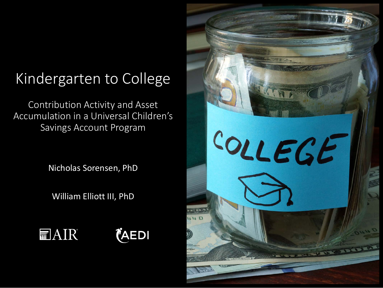#### Kindergarten to College

Contribution Activity and Asset Accumulation in a Universal Children's Savings Account Program

Nicholas Sorensen, PhD

William Elliott III, PhD

*(AEDI* **扁AIR** 

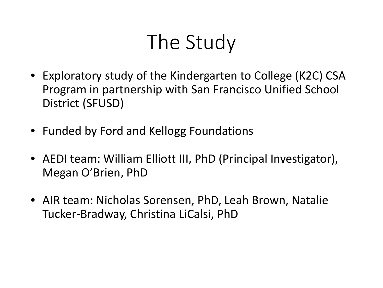#### The Study

- Exploratory study of the Kindergarten to College (K2C) CSA Program in partnership with San Francisco Unified School District (SFUSD)
- Funded by Ford and Kellogg Foundations
- AEDI team: William Elliott III, PhD (Principal Investigator), Megan O'Brien, PhD
- AIR team: Nicholas Sorensen, PhD, Leah Brown, Natalie Tucker-Bradway, Christina LiCalsi, PhD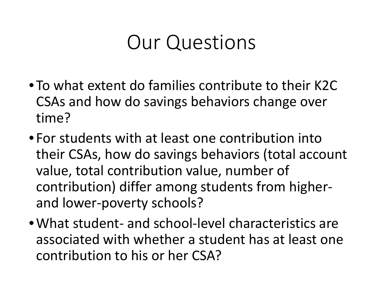#### Our Questions

- To what extent do families contribute to their K2C CSAs and how do savings behaviors change over time?
- For students with at least one contribution into their CSAs, how do savings behaviors (total account value, total contribution value, number of contribution) differ among students from higherand lower-poverty schools?
- •What student- and school-level characteristics are associated with whether a student has at least one contribution to his or her CSA?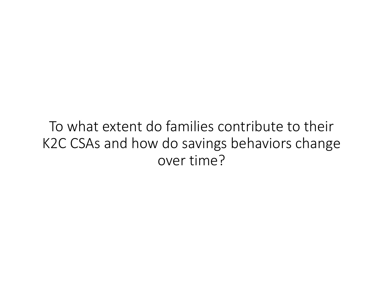To what extent do families contribute to their K2C CSAs and how do savings behaviors change over time?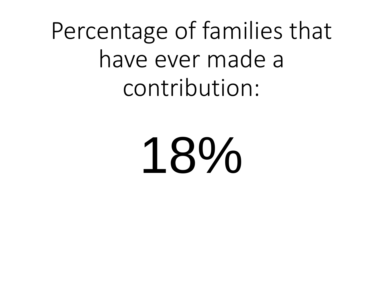Percentage of families that have ever made a contribution:

18%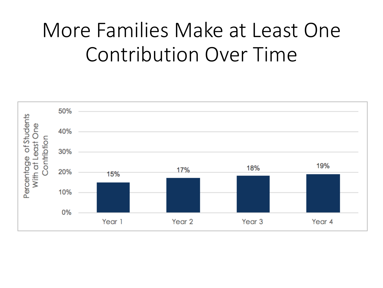#### More Families Make at Least One Contribution Over Time

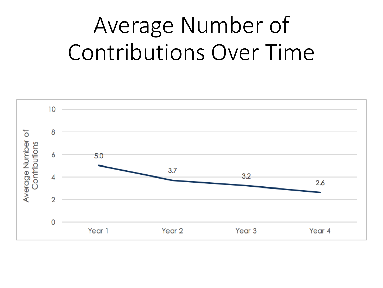### Average Number of Contributions Over Time

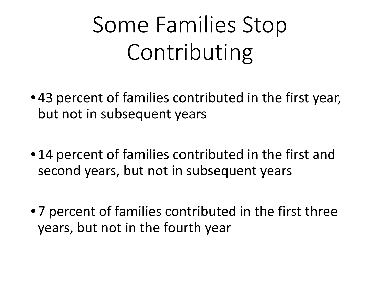# Some Families Stop Contributing

- 43 percent of families contributed in the first year, but not in subsequent years
- 14 percent of families contributed in the first and second years, but not in subsequent years
- 7 percent of families contributed in the first three years, but not in the fourth year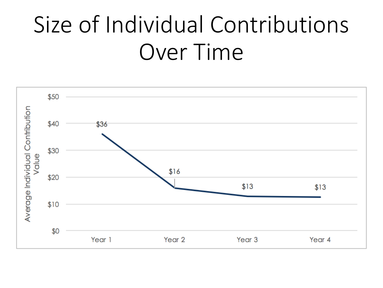### Size of Individual Contributions Over Time

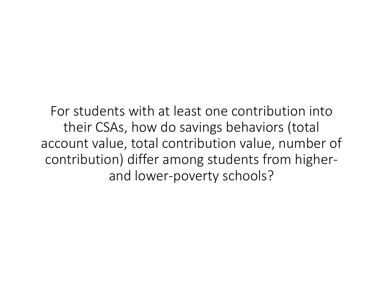For students with at least one contribution into their CSAs, how do savings behaviors (total account value, total contribution value, number of contribution) differ among students from higherand lower-poverty schools?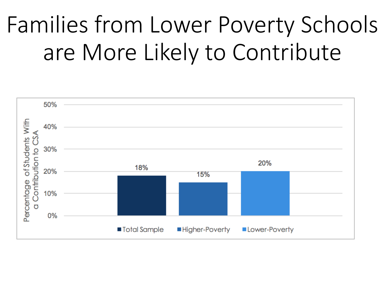# Families from Lower Poverty Schools are More Likely to Contribute

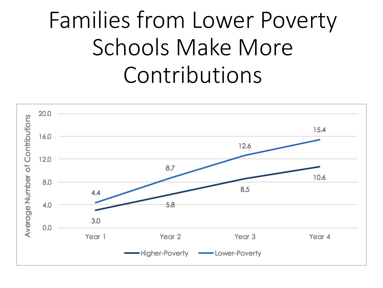## Families from Lower Poverty Schools Make More Contributions

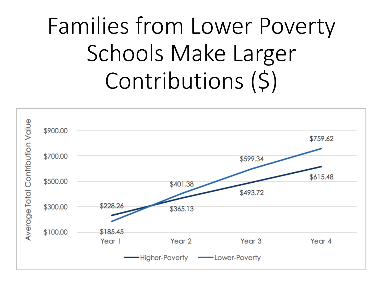# Families from Lower Poverty Schools Make Larger Contributions (\$)

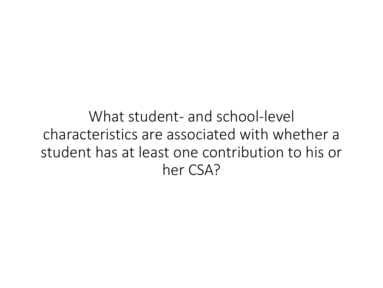What student- and school-level characteristics are associated with whether a student has at least one contribution to his or her CSA?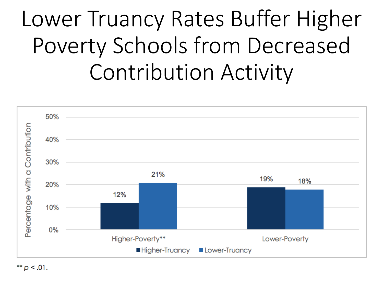### Lower Truancy Rates Buffer Higher Poverty Schools from Decreased Contribution Activity



\*\*  $p < .01$ .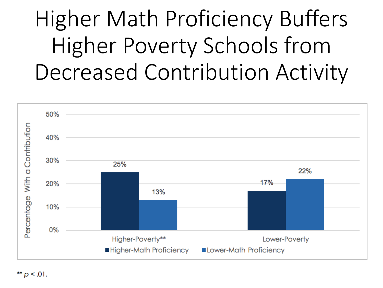### Higher Math Proficiency Buffers Higher Poverty Schools from Decreased Contribution Activity

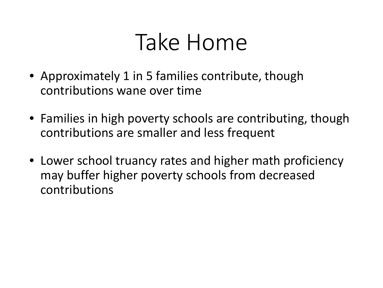#### Take Home

- Approximately 1 in 5 families contribute, though contributions wane over time
- Families in high poverty schools are contributing, though contributions are smaller and less frequent
- Lower school truancy rates and higher math proficiency may buffer higher poverty schools from decreased contributions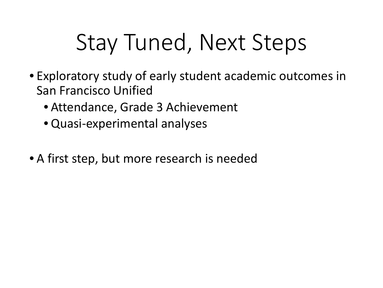### Stay Tuned, Next Steps

- Exploratory study of early student academic outcomes in San Francisco Unified
	- Attendance, Grade 3 Achievement
	- Quasi-experimental analyses
- A first step, but more research is needed